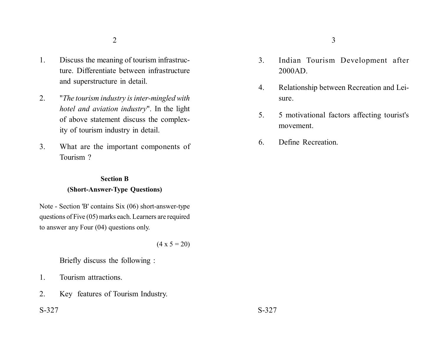- 1. Discuss the meaning of tourism infrastructure. Differentiate between infrastructure and superstructure in detail.
- 2. "*The tourism industry is inter-mingled with hotel and aviation industry*". In the light of above statement discuss the complexity of tourism industry in detail.
- 3. What are the important components of Tourism ?

## **Section B**

### **(Short-Answer-Type Questions)**

Note - Section 'B' contains Six (06) short-answer-type questions of Five (05) marks each. Learners are required to answer any Four (04) questions only.

 $(4 \times 5 = 20)$ 

Briefly discuss the following :

- 1. Tourism attractions.
- 2. Key features of Tourism Industry.

## $S-327$   $S-327$

- 3. Indian Tourism Development after 2000AD.
- 4. Relationship between Recreation and Leisure.
- 5. 5 motivational factors affecting tourist's movement.
- 6. Define Recreation.